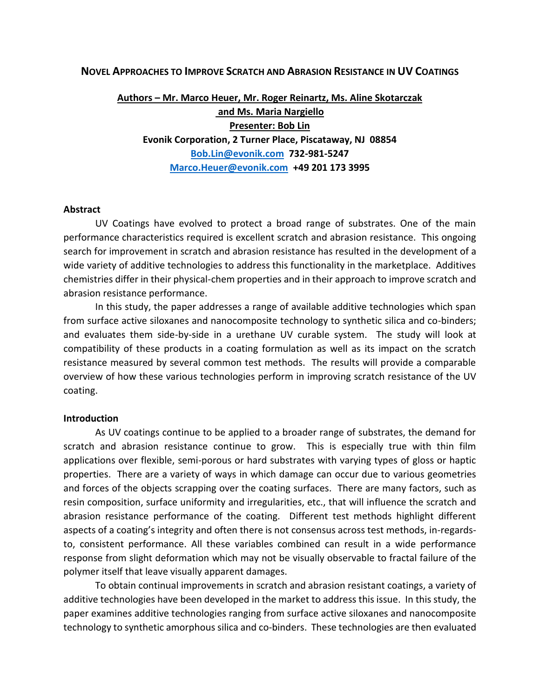#### **NOVEL APPROACHES TO IMPROVE SCRATCH AND ABRASION RESISTANCE IN UV COATINGS**

# **Authors – Mr. Marco Heuer, Mr. Roger Reinartz, Ms. Aline Skotarczak and Ms. Maria Nargiello Presenter: Bob Lin Evonik Corporation, 2 Turner Place, Piscataway, NJ 08854 [Bob.Lin@evonik.com](mailto:Bob.Lin@evonik.com) 732-981-5247 [Marco.Heuer@evonik.com](mailto:Marco.Heuer@evonik.com) +49 201 173 3995**

#### **Abstract**

UV Coatings have evolved to protect a broad range of substrates. One of the main performance characteristics required is excellent scratch and abrasion resistance. This ongoing search for improvement in scratch and abrasion resistance has resulted in the development of a wide variety of additive technologies to address this functionality in the marketplace. Additives chemistries differ in their physical-chem properties and in their approach to improve scratch and abrasion resistance performance.

In this study, the paper addresses a range of available additive technologies which span from surface active siloxanes and nanocomposite technology to synthetic silica and co-binders; and evaluates them side-by-side in a urethane UV curable system. The study will look at compatibility of these products in a coating formulation as well as its impact on the scratch resistance measured by several common test methods. The results will provide a comparable overview of how these various technologies perform in improving scratch resistance of the UV coating.

#### **Introduction**

As UV coatings continue to be applied to a broader range of substrates, the demand for scratch and abrasion resistance continue to grow. This is especially true with thin film applications over flexible, semi-porous or hard substrates with varying types of gloss or haptic properties. There are a variety of ways in which damage can occur due to various geometries and forces of the objects scrapping over the coating surfaces. There are many factors, such as resin composition, surface uniformity and irregularities, etc., that will influence the scratch and abrasion resistance performance of the coating. Different test methods highlight different aspects of a coating's integrity and often there is not consensus across test methods, in-regardsto, consistent performance. All these variables combined can result in a wide performance response from slight deformation which may not be visually observable to fractal failure of the polymer itself that leave visually apparent damages.

To obtain continual improvements in scratch and abrasion resistant coatings, a variety of additive technologies have been developed in the market to address this issue. In this study, the paper examines additive technologies ranging from surface active siloxanes and nanocomposite technology to synthetic amorphous silica and co-binders. These technologies are then evaluated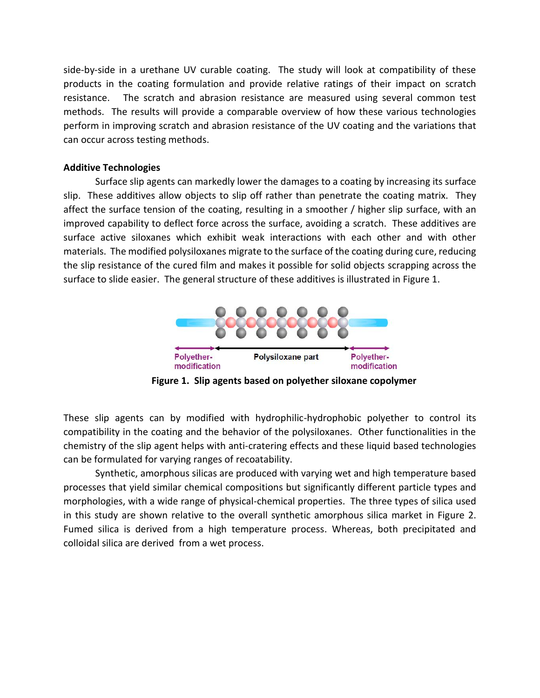side-by-side in a urethane UV curable coating. The study will look at compatibility of these products in the coating formulation and provide relative ratings of their impact on scratch resistance. The scratch and abrasion resistance are measured using several common test methods. The results will provide a comparable overview of how these various technologies perform in improving scratch and abrasion resistance of the UV coating and the variations that can occur across testing methods.

## **Additive Technologies**

Surface slip agents can markedly lower the damages to a coating by increasing its surface slip. These additives allow objects to slip off rather than penetrate the coating matrix. They affect the surface tension of the coating, resulting in a smoother / higher slip surface, with an improved capability to deflect force across the surface, avoiding a scratch. These additives are surface active siloxanes which exhibit weak interactions with each other and with other materials. The modified polysiloxanes migrate to the surface of the coating during cure, reducing the slip resistance of the cured film and makes it possible for solid objects scrapping across the surface to slide easier. The general structure of these additives is illustrated in Figure 1.



 **Figure 1. Slip agents based on polyether siloxane copolymer**

These slip agents can by modified with hydrophilic-hydrophobic polyether to control its compatibility in the coating and the behavior of the polysiloxanes. Other functionalities in the chemistry of the slip agent helps with anti-cratering effects and these liquid based technologies can be formulated for varying ranges of recoatability.

Synthetic, amorphous silicas are produced with varying wet and high temperature based processes that yield similar chemical compositions but significantly different particle types and morphologies, with a wide range of physical-chemical properties. The three types of silica used in this study are shown relative to the overall synthetic amorphous silica market in Figure 2. Fumed silica is derived from a high temperature process. Whereas, both precipitated and colloidal silica are derived from a wet process.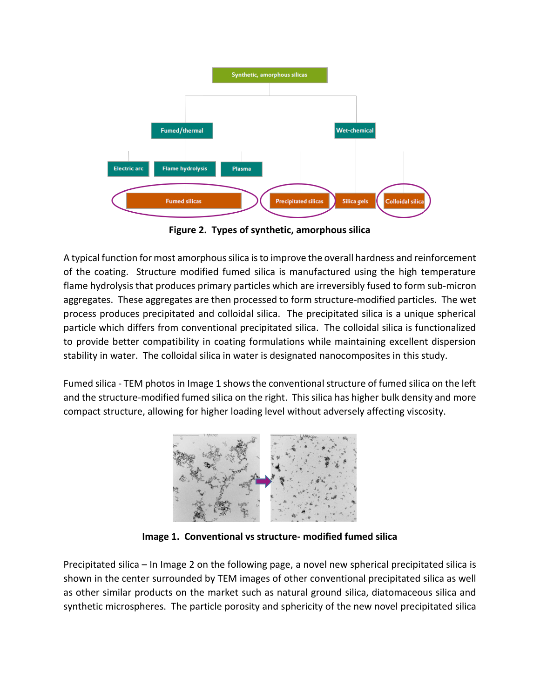

**Figure 2. Types of synthetic, amorphous silica**

A typical function for most amorphous silica is to improve the overall hardness and reinforcement of the coating. Structure modified fumed silica is manufactured using the high temperature flame hydrolysis that produces primary particles which are irreversibly fused to form sub-micron aggregates. These aggregates are then processed to form structure-modified particles. The wet process produces precipitated and colloidal silica. The precipitated silica is a unique spherical particle which differs from conventional precipitated silica. The colloidal silica is functionalized to provide better compatibility in coating formulations while maintaining excellent dispersion stability in water. The colloidal silica in water is designated nanocomposites in this study.

Fumed silica - TEM photos in Image 1 shows the conventional structure of fumed silica on the left and the structure-modified fumed silica on the right. This silica has higher bulk density and more compact structure, allowing for higher loading level without adversely affecting viscosity.



**Image 1. Conventional vs structure- modified fumed silica**

Precipitated silica – In Image 2 on the following page, a novel new spherical precipitated silica is shown in the center surrounded by TEM images of other conventional precipitated silica as well as other similar products on the market such as natural ground silica, diatomaceous silica and synthetic microspheres. The particle porosity and sphericity of the new novel precipitated silica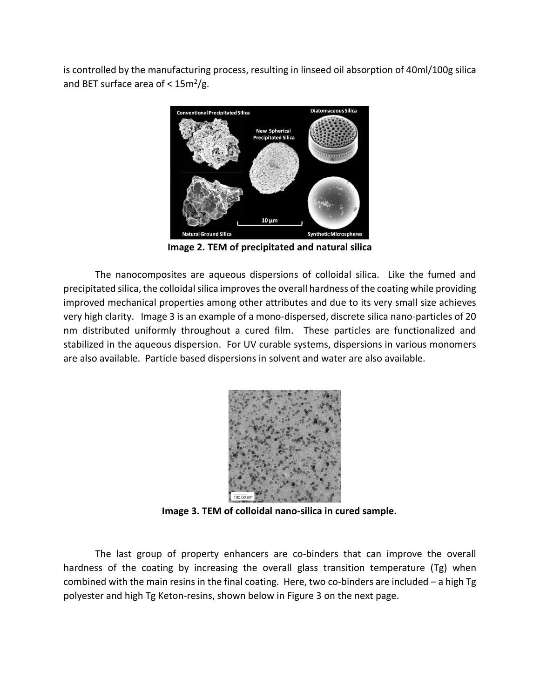is controlled by the manufacturing process, resulting in linseed oil absorption of 40ml/100g silica and BET surface area of  $<$  15m<sup>2</sup>/g.



**Image 2. TEM of precipitated and natural silica**

The nanocomposites are aqueous dispersions of colloidal silica. Like the fumed and precipitated silica, the colloidal silica improves the overall hardness of the coating while providing improved mechanical properties among other attributes and due to its very small size achieves very high clarity. Image 3 is an example of a mono-dispersed, discrete silica nano-particles of 20 nm distributed uniformly throughout a cured film. These particles are functionalized and stabilized in the aqueous dispersion. For UV curable systems, dispersions in various monomers are also available. Particle based dispersions in solvent and water are also available.



**Image 3. TEM of colloidal nano-silica in cured sample.**

The last group of property enhancers are co-binders that can improve the overall hardness of the coating by increasing the overall glass transition temperature (Tg) when combined with the main resins in the final coating. Here, two co-binders are included – a high Tg polyester and high Tg Keton-resins, shown below in Figure 3 on the next page.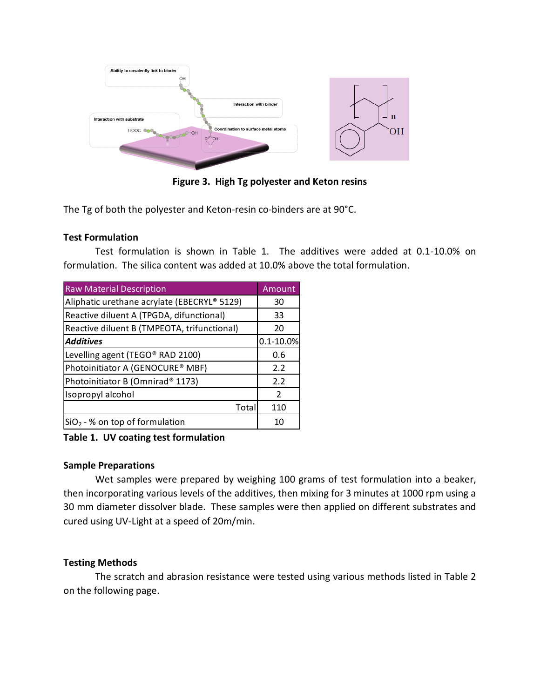

**Figure 3. High Tg polyester and Keton resins**

The Tg of both the polyester and Keton-resin co-binders are at 90°C.

### **Test Formulation**

Test formulation is shown in Table 1. The additives were added at 0.1-10.0% on formulation. The silica content was added at 10.0% above the total formulation.

| <b>Raw Material Description</b>             | Amount        |
|---------------------------------------------|---------------|
| Aliphatic urethane acrylate (EBECRYL® 5129) | 30            |
| Reactive diluent A (TPGDA, difunctional)    | 33            |
| Reactive diluent B (TMPEOTA, trifunctional) | 20            |
| <b>Additives</b>                            | $0.1 - 10.0%$ |
| Levelling agent (TEGO® RAD 2100)            | 0.6           |
| Photoinitiator A (GENOCURE® MBF)            | 2.2           |
| Photoinitiator B (Omnirad® 1173)            | 2.2           |
| Isopropyl alcohol                           | 2             |
| Total                                       | 110           |
| $SiO2 - %$ on top of formulation            | 10            |

**Table 1. UV coating test formulation**

### **Sample Preparations**

Wet samples were prepared by weighing 100 grams of test formulation into a beaker, then incorporating various levels of the additives, then mixing for 3 minutes at 1000 rpm using a 30 mm diameter dissolver blade. These samples were then applied on different substrates and cured using UV-Light at a speed of 20m/min.

## **Testing Methods**

The scratch and abrasion resistance were tested using various methods listed in Table 2 on the following page.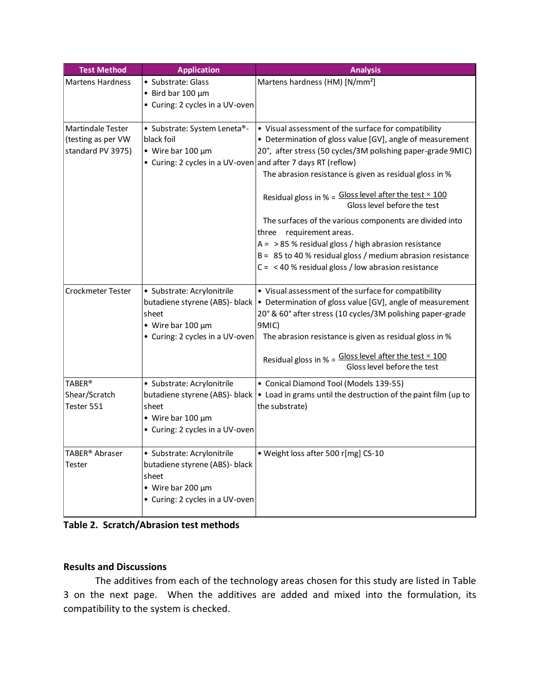| <b>Test Method</b>                                                  | <b>Application</b>                                                                                                                         | <b>Analysis</b>                                                                                                                                                                                                                                                                                                                                                                                                                                                                                                                                                                                                     |
|---------------------------------------------------------------------|--------------------------------------------------------------------------------------------------------------------------------------------|---------------------------------------------------------------------------------------------------------------------------------------------------------------------------------------------------------------------------------------------------------------------------------------------------------------------------------------------------------------------------------------------------------------------------------------------------------------------------------------------------------------------------------------------------------------------------------------------------------------------|
| <b>Martens Hardness</b>                                             | · Substrate: Glass<br>$\bullet$ Bird bar 100 $\mu$ m<br>• Curing: 2 cycles in a UV-oven                                                    | Martens hardness (HM) [N/mm <sup>2</sup> ]                                                                                                                                                                                                                                                                                                                                                                                                                                                                                                                                                                          |
| <b>Martindale Tester</b><br>(testing as per VW<br>standard PV 3975) | • Substrate: System Leneta®-<br>black foil<br>$\bullet$ Wire bar 100 µm<br>• Curing: 2 cycles in a UV-oven and after 7 days RT (reflow)    | • Visual assessment of the surface for compatibility<br>• Determination of gloss value [GV], angle of measurement<br>20°, after stress (50 cycles/3M polishing paper-grade 9MIC)<br>The abrasion resistance is given as residual gloss in %<br>Residual gloss in $% =$ Gloss level after the test $\times$ 100<br>Gloss level before the test<br>The surfaces of the various components are divided into<br>three requirement areas.<br>$A = 85$ % residual gloss / high abrasion resistance<br>B = 85 to 40 % residual gloss / medium abrasion resistance<br>$C = < 40$ % residual gloss / low abrasion resistance |
| <b>Crockmeter Tester</b>                                            | · Substrate: Acrylonitrile<br>butadiene styrene (ABS)- black<br>sheet<br>$\bullet$ Wire bar 100 µm<br>• Curing: 2 cycles in a UV-oven      | • Visual assessment of the surface for compatibility<br>• Determination of gloss value [GV], angle of measurement<br>20° & 60° after stress (10 cycles/3M polishing paper-grade<br>9MIC)<br>The abrasion resistance is given as residual gloss in %<br>Residual gloss in % = $G$ loss level after the test $\times$ 100<br>Gloss level before the test                                                                                                                                                                                                                                                              |
| <b>TABER®</b><br>Shear/Scratch<br>Tester 551                        | · Substrate: Acrylonitrile<br>butadiene styrene (ABS)- black<br>sheet<br>$\bullet$ Wire bar 100 $\mu$ m<br>• Curing: 2 cycles in a UV-oven | • Conical Diamond Tool (Models 139-55)<br>. Load in grams until the destruction of the paint film (up to<br>the substrate)                                                                                                                                                                                                                                                                                                                                                                                                                                                                                          |
| TABER® Abraser<br>Tester                                            | · Substrate: Acrylonitrile<br>butadiene styrene (ABS)- black<br>sheet<br>$\bullet$ Wire bar 200 $\mu$ m<br>• Curing: 2 cycles in a UV-oven | · Weight loss after 500 r[mg] CS-10                                                                                                                                                                                                                                                                                                                                                                                                                                                                                                                                                                                 |

**Table 2. Scratch/Abrasion test methods**

### **Results and Discussions**

The additives from each of the technology areas chosen for this study are listed in Table 3 on the next page. When the additives are added and mixed into the formulation, its compatibility to the system is checked.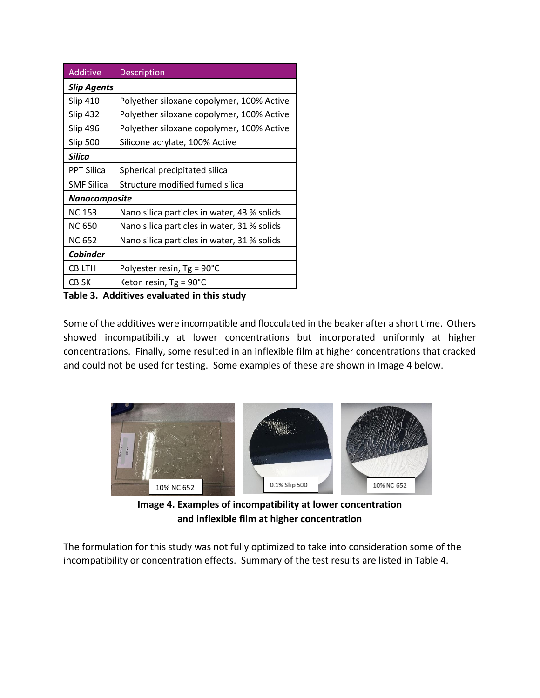| <b>Additive</b>    | Description                                 |  |  |  |
|--------------------|---------------------------------------------|--|--|--|
| <b>Slip Agents</b> |                                             |  |  |  |
| <b>Slip 410</b>    | Polyether siloxane copolymer, 100% Active   |  |  |  |
| <b>Slip 432</b>    | Polyether siloxane copolymer, 100% Active   |  |  |  |
| <b>Slip 496</b>    | Polyether siloxane copolymer, 100% Active   |  |  |  |
| Slip 500           | Silicone acrylate, 100% Active              |  |  |  |
| <b>Silica</b>      |                                             |  |  |  |
| <b>PPT Silica</b>  | Spherical precipitated silica               |  |  |  |
| <b>SMF Silica</b>  | Structure modified fumed silica             |  |  |  |
| Nanocomposite      |                                             |  |  |  |
| <b>NC 153</b>      | Nano silica particles in water, 43 % solids |  |  |  |
| <b>NC 650</b>      | Nano silica particles in water, 31 % solids |  |  |  |
| <b>NC 652</b>      | Nano silica particles in water, 31 % solids |  |  |  |
| <b>Cobinder</b>    |                                             |  |  |  |
| <b>CBLTH</b>       | Polyester resin, $Tg = 90^{\circ}C$         |  |  |  |
| CB SK              | Keton resin, Tg = 90°C                      |  |  |  |

**Table 3. Additives evaluated in this study**

Some of the additives were incompatible and flocculated in the beaker after a short time. Others showed incompatibility at lower concentrations but incorporated uniformly at higher concentrations. Finally, some resulted in an inflexible film at higher concentrations that cracked and could not be used for testing. Some examples of these are shown in Image 4 below.



**Image 4. Examples of incompatibility at lower concentration and inflexible film at higher concentration** 

The formulation for this study was not fully optimized to take into consideration some of the incompatibility or concentration effects. Summary of the test results are listed in Table 4.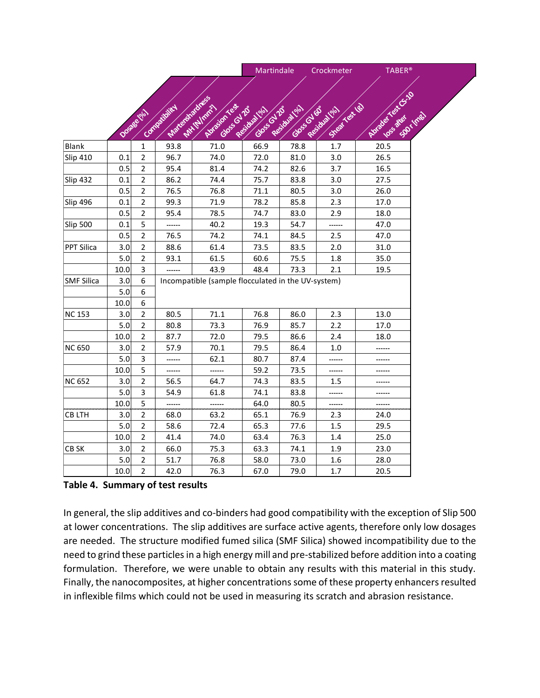|                   |         |                  |                                                    |                                         | Martindale                         |            | Crockmeter                     | <b>TABER®</b>                           |
|-------------------|---------|------------------|----------------------------------------------------|-----------------------------------------|------------------------------------|------------|--------------------------------|-----------------------------------------|
|                   |         |                  |                                                    |                                         |                                    |            |                                |                                         |
|                   |         |                  |                                                    |                                         |                                    |            |                                |                                         |
|                   |         |                  |                                                    |                                         |                                    |            |                                |                                         |
|                   |         |                  |                                                    |                                         |                                    |            |                                |                                         |
|                   |         | Dosate (ela)     | Margaratives<br>Connectionity                      | Abrasion rest<br>Antiplant<br>Goss Glad | Gloss Residiation<br>Residual Iola | Gloss Queb | Street for the<br>Residual bla | Rusale Kat G.19<br>SOOTMES<br>loss area |
| Blank             |         | 1                | 93.8                                               | 71.0                                    |                                    |            | 1.7                            | 20.5                                    |
| <b>Slip 410</b>   | 0.1     | $\overline{2}$   | 96.7                                               | 74.0                                    | 72.0                               | 81.0       | 3.0                            | 26.5                                    |
|                   | 0.5     | $\overline{2}$   | 95.4                                               | 81.4                                    | 74.2                               | 82.6       | 3.7                            | 16.5                                    |
| <b>Slip 432</b>   | 0.1     | $\overline{2}$   | 86.2                                               | 74.4                                    | 75.7                               | 83.8       | 3.0                            | 27.5                                    |
|                   | 0.5     | $\overline{2}$   | 76.5                                               | 76.8                                    | 71.1                               | 80.5       | 3.0                            | 26.0                                    |
| <b>Slip 496</b>   | 0.1     | $\overline{2}$   | 99.3                                               | 71.9                                    | 78.2                               | 85.8       | 2.3                            | 17.0                                    |
|                   | 0.5     | $\overline{2}$   | 95.4                                               | 78.5                                    | 74.7                               | 83.0       | 2.9                            | 18.0                                    |
| <b>Slip 500</b>   | 0.1     | 5                | ------                                             | 40.2                                    | 19.3                               | 54.7       | ------                         | 47.0                                    |
|                   | 0.5     | $\overline{2}$   | 76.5                                               | 74.2                                    | 74.1                               | 84.5       | 2.5                            | 47.0                                    |
| <b>PPT Silica</b> | 3.0     | $\overline{2}$   | 88.6                                               | 61.4                                    | 73.5                               | 83.5       | 2.0                            | 31.0                                    |
|                   | 5.0     | $\overline{2}$   | 93.1                                               | 61.5                                    | 60.6                               | 75.5       | 1.8                            | 35.0                                    |
|                   | 10.0    | 3                |                                                    | 43.9                                    | 48.4                               | 73.3       | 2.1                            | 19.5                                    |
| <b>SMF Silica</b> | 3.0     | $\boldsymbol{6}$ | Incompatible (sample flocculated in the UV-system) |                                         |                                    |            |                                |                                         |
|                   | 5.0     | 6                |                                                    |                                         |                                    |            |                                |                                         |
|                   | 10.0    | 6                |                                                    |                                         |                                    |            |                                |                                         |
| <b>NC 153</b>     | 3.0     | $\overline{2}$   | 80.5                                               | 71.1                                    | 76.8                               | 86.0       | 2.3                            | 13.0                                    |
|                   | 5.0     | 2                | 80.8                                               | 73.3                                    | 76.9                               | 85.7       | 2.2                            | 17.0                                    |
|                   | 10.0    | 2                | 87.7                                               | 72.0                                    | 79.5                               | 86.6       | 2.4                            | 18.0                                    |
| <b>NC 650</b>     | 3.0     | 2                | 57.9                                               | 70.1                                    | 79.5                               | 86.4       | 1.0                            |                                         |
|                   | 5.0     | 3                | ------                                             | 62.1                                    | 80.7                               | 87.4       | ------                         |                                         |
|                   | 10.0    | 5                | ------                                             | ------                                  | 59.2                               | 73.5       | ------                         | ------                                  |
| <b>NC 652</b>     | 3.0     | $\overline{2}$   | 56.5                                               | 64.7                                    | 74.3                               | 83.5       | 1.5                            | ------                                  |
|                   | 5.0     | 3                | 54.9                                               | 61.8                                    | 74.1                               | 83.8       | ------                         | ------                                  |
|                   | 10.0    | 5                | ------                                             | ------                                  | 64.0                               | 80.5       | ------                         | ------                                  |
| <b>CBLTH</b>      | 3.0     | 2                | 68.0                                               | 63.2                                    | 65.1                               | 76.9       | 2.3                            | 24.0                                    |
|                   | 5.0     | $\overline{2}$   | 58.6                                               | 72.4                                    | 65.3                               | 77.6       | 1.5                            | 29.5                                    |
|                   | 10.0    | $\overline{2}$   | 41.4                                               | 74.0                                    | 63.4                               | 76.3       | 1.4                            | 25.0                                    |
| CB SK             | 3.0     | $\overline{2}$   | 66.0                                               | 75.3                                    | 63.3                               | 74.1       | 1.9                            | 23.0                                    |
|                   | $5.0\,$ | $\overline{2}$   | 51.7                                               | 76.8                                    | 58.0                               | 73.0       | 1.6                            | 28.0                                    |
|                   | 10.0    | $\mathbf 2$      | 42.0                                               | 76.3                                    | 67.0                               | 79.0       | 1.7                            | 20.5                                    |

#### **Table 4. Summary of test results**

In general, the slip additives and co-binders had good compatibility with the exception of Slip 500 at lower concentrations. The slip additives are surface active agents, therefore only low dosages are needed. The structure modified fumed silica (SMF Silica) showed incompatibility due to the need to grind these particles in a high energy mill and pre-stabilized before addition into a coating formulation. Therefore, we were unable to obtain any results with this material in this study. Finally, the nanocomposites, at higher concentrations some of these property enhancers resulted in inflexible films which could not be used in measuring its scratch and abrasion resistance.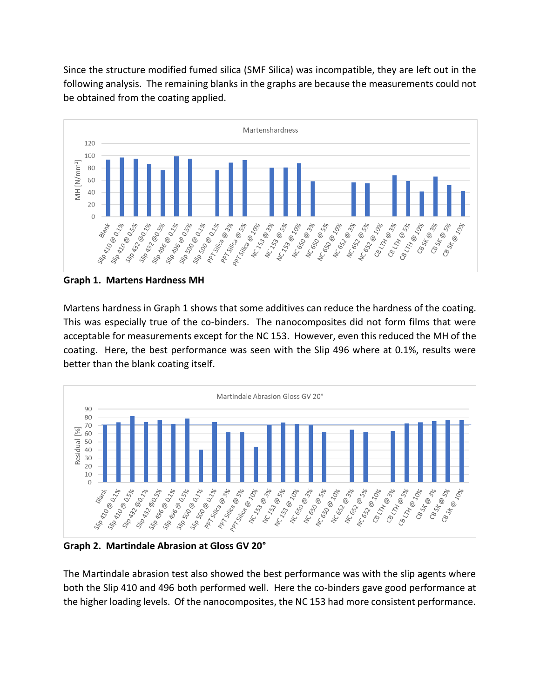Since the structure modified fumed silica (SMF Silica) was incompatible, they are left out in the following analysis. The remaining blanks in the graphs are because the measurements could not be obtained from the coating applied.



**Graph 1. Martens Hardness MH**

Martens hardness in Graph 1 shows that some additives can reduce the hardness of the coating. This was especially true of the co-binders. The nanocomposites did not form films that were acceptable for measurements except for the NC 153. However, even this reduced the MH of the coating. Here, the best performance was seen with the Slip 496 where at 0.1%, results were better than the blank coating itself.



**Graph 2. Martindale Abrasion at Gloss GV 20°**

The Martindale abrasion test also showed the best performance was with the slip agents where both the Slip 410 and 496 both performed well. Here the co-binders gave good performance at the higher loading levels. Of the nanocomposites, the NC 153 had more consistent performance.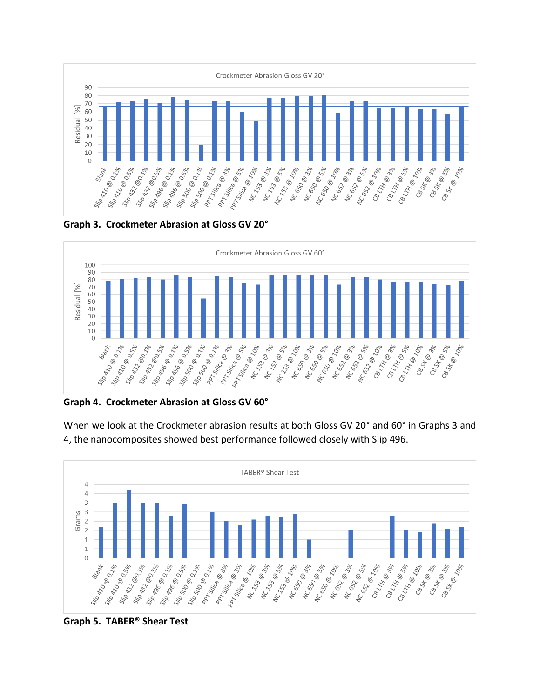

**Graph 3. Crockmeter Abrasion at Gloss GV 20°**



**Graph 4. Crockmeter Abrasion at Gloss GV 60°**

When we look at the Crockmeter abrasion results at both Gloss GV 20° and 60° in Graphs 3 and 4, the nanocomposites showed best performance followed closely with Slip 496.



**Graph 5. TABER® Shear Test**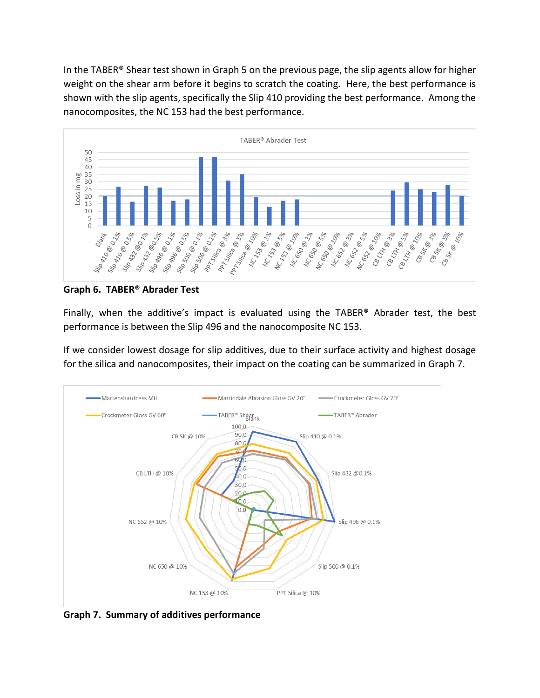In the TABER® Shear test shown in Graph 5 on the previous page, the slip agents allow for higher weight on the shear arm before it begins to scratch the coating. Here, the best performance is shown with the slip agents, specifically the Slip 410 providing the best performance. Among the nanocomposites, the NC 153 had the best performance.



**Graph 6. TABER® Abrader Test**

Finally, when the additive's impact is evaluated using the TABER® Abrader test, the best performance is between the Slip 496 and the nanocomposite NC 153.

If we consider lowest dosage for slip additives, due to their surface activity and highest dosage for the silica and nanocomposites, their impact on the coating can be summarized in Graph 7.



**Graph 7. Summary of additives performance**